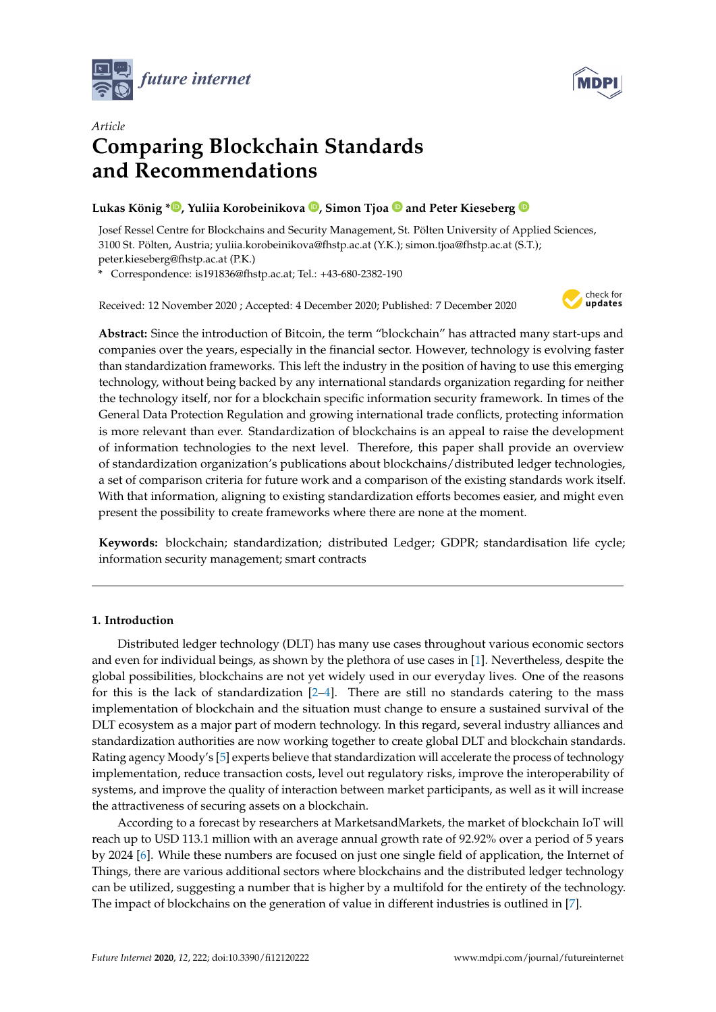



# *Article* **Comparing Blockchain Standards and Recommendations**

# **Lukas König \* [,](https://orcid.org/0000-0002-7328-5428) Yuliia Korobeinikova [,](https://orcid.org/0000-0001-9247-1448) Simon Tjoa and Peter Kieseberg**

Josef Ressel Centre for Blockchains and Security Management, St. Pölten University of Applied Sciences, 3100 St. Pölten, Austria; yuliia.korobeinikova@fhstp.ac.at (Y.K.); simon.tjoa@fhstp.ac.at (S.T.); peter.kieseberg@fhstp.ac.at (P.K.)

**\*** Correspondence: is191836@fhstp.ac.at; Tel.: +43-680-2382-190

Received: 12 November 2020 ; Accepted: 4 December 2020; Published: 7 December 2020



**Abstract:** Since the introduction of Bitcoin, the term "blockchain" has attracted many start-ups and companies over the years, especially in the financial sector. However, technology is evolving faster than standardization frameworks. This left the industry in the position of having to use this emerging technology, without being backed by any international standards organization regarding for neither the technology itself, nor for a blockchain specific information security framework. In times of the General Data Protection Regulation and growing international trade conflicts, protecting information is more relevant than ever. Standardization of blockchains is an appeal to raise the development of information technologies to the next level. Therefore, this paper shall provide an overview of standardization organization's publications about blockchains/distributed ledger technologies, a set of comparison criteria for future work and a comparison of the existing standards work itself. With that information, aligning to existing standardization efforts becomes easier, and might even present the possibility to create frameworks where there are none at the moment.

**Keywords:** blockchain; standardization; distributed Ledger; GDPR; standardisation life cycle; information security management; smart contracts

# <span id="page-0-0"></span>**1. Introduction**

Distributed ledger technology (DLT) has many use cases throughout various economic sectors and even for individual beings, as shown by the plethora of use cases in [\[1\]](#page-14-0). Nevertheless, despite the global possibilities, blockchains are not yet widely used in our everyday lives. One of the reasons for this is the lack of standardization  $[2-4]$  $[2-4]$ . There are still no standards catering to the mass implementation of blockchain and the situation must change to ensure a sustained survival of the DLT ecosystem as a major part of modern technology. In this regard, several industry alliances and standardization authorities are now working together to create global DLT and blockchain standards. Rating agency Moody's [\[5\]](#page-14-3) experts believe that standardization will accelerate the process of technology implementation, reduce transaction costs, level out regulatory risks, improve the interoperability of systems, and improve the quality of interaction between market participants, as well as it will increase the attractiveness of securing assets on a blockchain.

According to a forecast by researchers at MarketsandMarkets, the market of blockchain IoT will reach up to USD 113.1 million with an average annual growth rate of 92.92% over a period of 5 years by 2024 [\[6\]](#page-14-4). While these numbers are focused on just one single field of application, the Internet of Things, there are various additional sectors where blockchains and the distributed ledger technology can be utilized, suggesting a number that is higher by a multifold for the entirety of the technology. The impact of blockchains on the generation of value in different industries is outlined in [\[7\]](#page-14-5).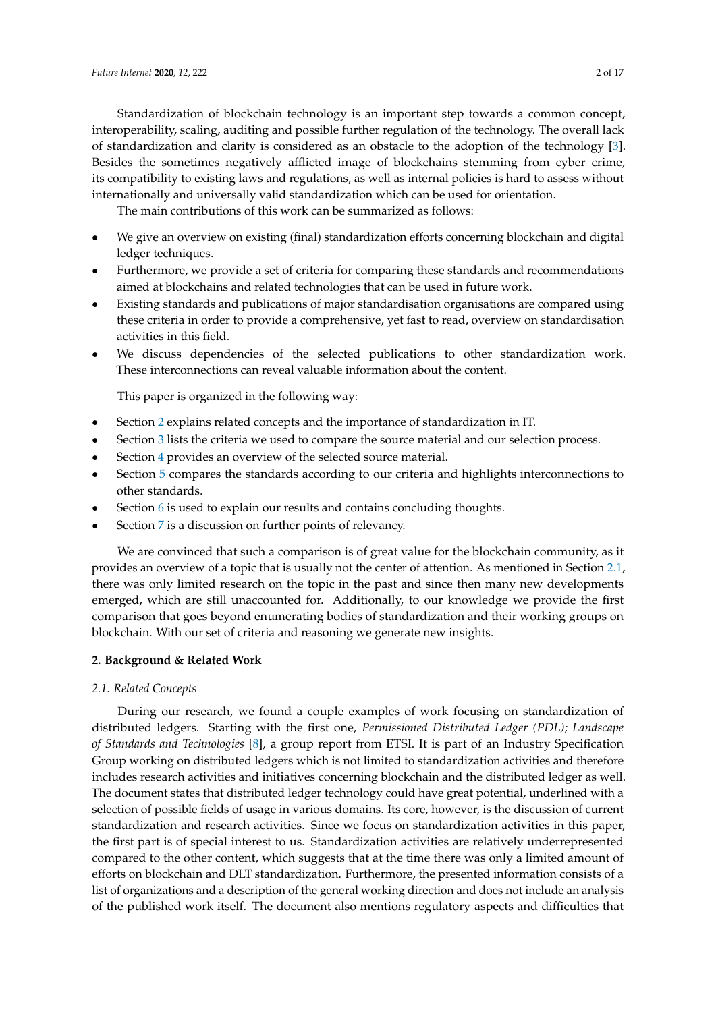Standardization of blockchain technology is an important step towards a common concept, interoperability, scaling, auditing and possible further regulation of the technology. The overall lack of standardization and clarity is considered as an obstacle to the adoption of the technology [\[3\]](#page-14-6). Besides the sometimes negatively afflicted image of blockchains stemming from cyber crime, its compatibility to existing laws and regulations, as well as internal policies is hard to assess without internationally and universally valid standardization which can be used for orientation.

The main contributions of this work can be summarized as follows:

- We give an overview on existing (final) standardization efforts concerning blockchain and digital ledger techniques.
- Furthermore, we provide a set of criteria for comparing these standards and recommendations aimed at blockchains and related technologies that can be used in future work.
- Existing standards and publications of major standardisation organisations are compared using these criteria in order to provide a comprehensive, yet fast to read, overview on standardisation activities in this field.
- We discuss dependencies of the selected publications to other standardization work. These interconnections can reveal valuable information about the content.

This paper is organized in the following way:

- Section [2](#page-1-0) explains related concepts and the importance of standardization in IT.
- Section [3](#page-2-0) lists the criteria we used to compare the source material and our selection process.
- Section [4](#page-5-0) provides an overview of the selected source material.
- Section [5](#page-9-0) compares the standards according to our criteria and highlights interconnections to other standards.
- Section [6](#page-12-0) is used to explain our results and contains concluding thoughts.
- Section [7](#page-13-0) is a discussion on further points of relevancy.

We are convinced that such a comparison is of great value for the blockchain community, as it provides an overview of a topic that is usually not the center of attention. As mentioned in Section [2.1,](#page-1-1) there was only limited research on the topic in the past and since then many new developments emerged, which are still unaccounted for. Additionally, to our knowledge we provide the first comparison that goes beyond enumerating bodies of standardization and their working groups on blockchain. With our set of criteria and reasoning we generate new insights.

## <span id="page-1-0"></span>**2. Background & Related Work**

#### <span id="page-1-1"></span>*2.1. Related Concepts*

During our research, we found a couple examples of work focusing on standardization of distributed ledgers. Starting with the first one, *Permissioned Distributed Ledger (PDL); Landscape of Standards and Technologies* [\[8\]](#page-14-7), a group report from ETSI. It is part of an Industry Specification Group working on distributed ledgers which is not limited to standardization activities and therefore includes research activities and initiatives concerning blockchain and the distributed ledger as well. The document states that distributed ledger technology could have great potential, underlined with a selection of possible fields of usage in various domains. Its core, however, is the discussion of current standardization and research activities. Since we focus on standardization activities in this paper, the first part is of special interest to us. Standardization activities are relatively underrepresented compared to the other content, which suggests that at the time there was only a limited amount of efforts on blockchain and DLT standardization. Furthermore, the presented information consists of a list of organizations and a description of the general working direction and does not include an analysis of the published work itself. The document also mentions regulatory aspects and difficulties that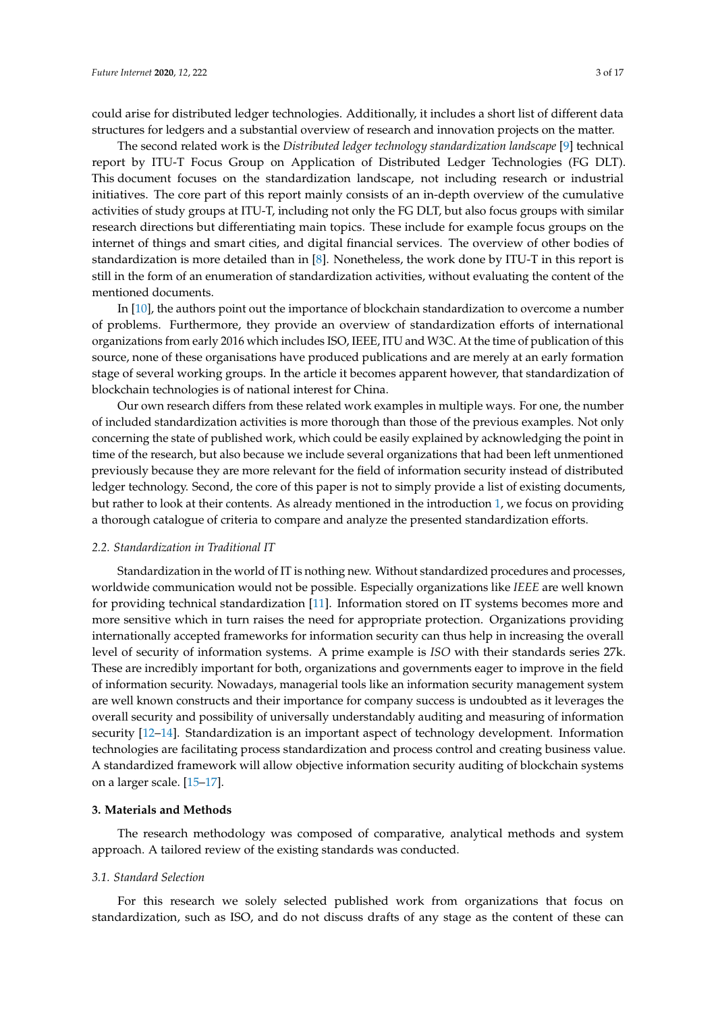could arise for distributed ledger technologies. Additionally, it includes a short list of different data structures for ledgers and a substantial overview of research and innovation projects on the matter.

The second related work is the *Distributed ledger technology standardization landscape* [\[9\]](#page-14-8) technical report by ITU-T Focus Group on Application of Distributed Ledger Technologies (FG DLT). This document focuses on the standardization landscape, not including research or industrial initiatives. The core part of this report mainly consists of an in-depth overview of the cumulative activities of study groups at ITU-T, including not only the FG DLT, but also focus groups with similar research directions but differentiating main topics. These include for example focus groups on the internet of things and smart cities, and digital financial services. The overview of other bodies of standardization is more detailed than in [\[8\]](#page-14-7). Nonetheless, the work done by ITU-T in this report is still in the form of an enumeration of standardization activities, without evaluating the content of the mentioned documents.

In [\[10\]](#page-14-9), the authors point out the importance of blockchain standardization to overcome a number of problems. Furthermore, they provide an overview of standardization efforts of international organizations from early 2016 which includes ISO, IEEE, ITU and W3C. At the time of publication of this source, none of these organisations have produced publications and are merely at an early formation stage of several working groups. In the article it becomes apparent however, that standardization of blockchain technologies is of national interest for China.

Our own research differs from these related work examples in multiple ways. For one, the number of included standardization activities is more thorough than those of the previous examples. Not only concerning the state of published work, which could be easily explained by acknowledging the point in time of the research, but also because we include several organizations that had been left unmentioned previously because they are more relevant for the field of information security instead of distributed ledger technology. Second, the core of this paper is not to simply provide a list of existing documents, but rather to look at their contents. As already mentioned in the introduction [1,](#page-0-0) we focus on providing a thorough catalogue of criteria to compare and analyze the presented standardization efforts.

## *2.2. Standardization in Traditional IT*

Standardization in the world of IT is nothing new. Without standardized procedures and processes, worldwide communication would not be possible. Especially organizations like *IEEE* are well known for providing technical standardization [\[11\]](#page-14-10). Information stored on IT systems becomes more and more sensitive which in turn raises the need for appropriate protection. Organizations providing internationally accepted frameworks for information security can thus help in increasing the overall level of security of information systems. A prime example is *ISO* with their standards series 27k. These are incredibly important for both, organizations and governments eager to improve in the field of information security. Nowadays, managerial tools like an information security management system are well known constructs and their importance for company success is undoubted as it leverages the overall security and possibility of universally understandably auditing and measuring of information security [\[12–](#page-14-11)[14\]](#page-14-12). Standardization is an important aspect of technology development. Information technologies are facilitating process standardization and process control and creating business value. A standardized framework will allow objective information security auditing of blockchain systems on a larger scale. [\[15–](#page-14-13)[17\]](#page-14-14).

#### <span id="page-2-0"></span>**3. Materials and Methods**

The research methodology was composed of comparative, analytical methods and system approach. A tailored review of the existing standards was conducted.

#### *3.1. Standard Selection*

For this research we solely selected published work from organizations that focus on standardization, such as ISO, and do not discuss drafts of any stage as the content of these can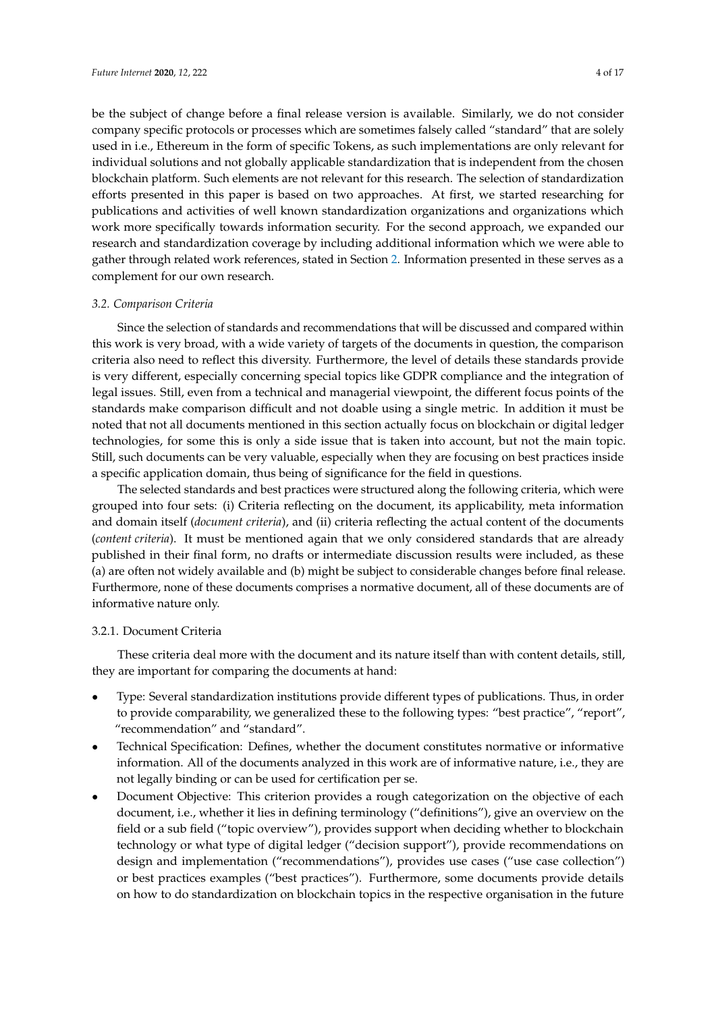be the subject of change before a final release version is available. Similarly, we do not consider company specific protocols or processes which are sometimes falsely called "standard" that are solely used in i.e., Ethereum in the form of specific Tokens, as such implementations are only relevant for individual solutions and not globally applicable standardization that is independent from the chosen blockchain platform. Such elements are not relevant for this research. The selection of standardization efforts presented in this paper is based on two approaches. At first, we started researching for publications and activities of well known standardization organizations and organizations which work more specifically towards information security. For the second approach, we expanded our research and standardization coverage by including additional information which we were able to gather through related work references, stated in Section [2.](#page-1-0) Information presented in these serves as a complement for our own research.

# <span id="page-3-0"></span>*3.2. Comparison Criteria*

Since the selection of standards and recommendations that will be discussed and compared within this work is very broad, with a wide variety of targets of the documents in question, the comparison criteria also need to reflect this diversity. Furthermore, the level of details these standards provide is very different, especially concerning special topics like GDPR compliance and the integration of legal issues. Still, even from a technical and managerial viewpoint, the different focus points of the standards make comparison difficult and not doable using a single metric. In addition it must be noted that not all documents mentioned in this section actually focus on blockchain or digital ledger technologies, for some this is only a side issue that is taken into account, but not the main topic. Still, such documents can be very valuable, especially when they are focusing on best practices inside a specific application domain, thus being of significance for the field in questions.

The selected standards and best practices were structured along the following criteria, which were grouped into four sets: (i) Criteria reflecting on the document, its applicability, meta information and domain itself (*document criteria*), and (ii) criteria reflecting the actual content of the documents (*content criteria*). It must be mentioned again that we only considered standards that are already published in their final form, no drafts or intermediate discussion results were included, as these (a) are often not widely available and (b) might be subject to considerable changes before final release. Furthermore, none of these documents comprises a normative document, all of these documents are of informative nature only.

## 3.2.1. Document Criteria

These criteria deal more with the document and its nature itself than with content details, still, they are important for comparing the documents at hand:

- Type: Several standardization institutions provide different types of publications. Thus, in order to provide comparability, we generalized these to the following types: "best practice", "report", "recommendation" and "standard".
- Technical Specification: Defines, whether the document constitutes normative or informative information. All of the documents analyzed in this work are of informative nature, i.e., they are not legally binding or can be used for certification per se.
- Document Objective: This criterion provides a rough categorization on the objective of each document, i.e., whether it lies in defining terminology ("definitions"), give an overview on the field or a sub field ("topic overview"), provides support when deciding whether to blockchain technology or what type of digital ledger ("decision support"), provide recommendations on design and implementation ("recommendations"), provides use cases ("use case collection") or best practices examples ("best practices"). Furthermore, some documents provide details on how to do standardization on blockchain topics in the respective organisation in the future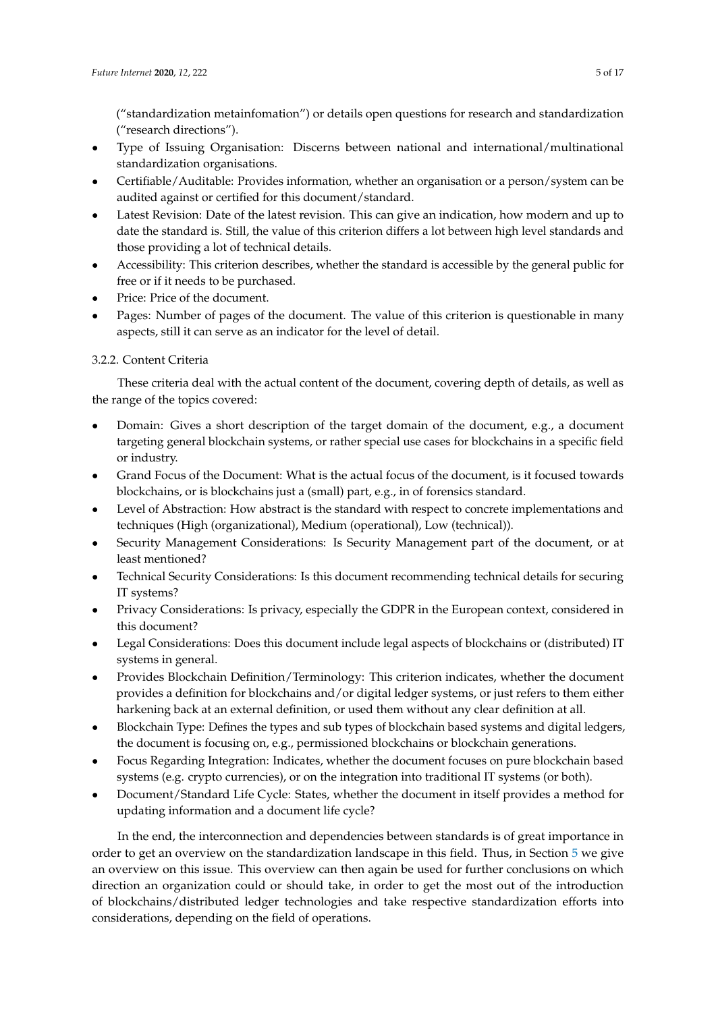("standardization metainfomation") or details open questions for research and standardization ("research directions").

- Type of Issuing Organisation: Discerns between national and international/multinational standardization organisations.
- Certifiable/Auditable: Provides information, whether an organisation or a person/system can be audited against or certified for this document/standard.
- Latest Revision: Date of the latest revision. This can give an indication, how modern and up to date the standard is. Still, the value of this criterion differs a lot between high level standards and those providing a lot of technical details.
- Accessibility: This criterion describes, whether the standard is accessible by the general public for free or if it needs to be purchased.
- Price: Price of the document.
- Pages: Number of pages of the document. The value of this criterion is questionable in many aspects, still it can serve as an indicator for the level of detail.

# 3.2.2. Content Criteria

These criteria deal with the actual content of the document, covering depth of details, as well as the range of the topics covered:

- Domain: Gives a short description of the target domain of the document, e.g., a document targeting general blockchain systems, or rather special use cases for blockchains in a specific field or industry.
- Grand Focus of the Document: What is the actual focus of the document, is it focused towards blockchains, or is blockchains just a (small) part, e.g., in of forensics standard.
- Level of Abstraction: How abstract is the standard with respect to concrete implementations and techniques (High (organizational), Medium (operational), Low (technical)).
- Security Management Considerations: Is Security Management part of the document, or at least mentioned?
- Technical Security Considerations: Is this document recommending technical details for securing IT systems?
- Privacy Considerations: Is privacy, especially the GDPR in the European context, considered in this document?
- Legal Considerations: Does this document include legal aspects of blockchains or (distributed) IT systems in general.
- Provides Blockchain Definition/Terminology: This criterion indicates, whether the document provides a definition for blockchains and/or digital ledger systems, or just refers to them either harkening back at an external definition, or used them without any clear definition at all.
- Blockchain Type: Defines the types and sub types of blockchain based systems and digital ledgers, the document is focusing on, e.g., permissioned blockchains or blockchain generations.
- Focus Regarding Integration: Indicates, whether the document focuses on pure blockchain based systems (e.g. crypto currencies), or on the integration into traditional IT systems (or both).
- Document/Standard Life Cycle: States, whether the document in itself provides a method for updating information and a document life cycle?

In the end, the interconnection and dependencies between standards is of great importance in order to get an overview on the standardization landscape in this field. Thus, in Section [5](#page-9-0) we give an overview on this issue. This overview can then again be used for further conclusions on which direction an organization could or should take, in order to get the most out of the introduction of blockchains/distributed ledger technologies and take respective standardization efforts into considerations, depending on the field of operations.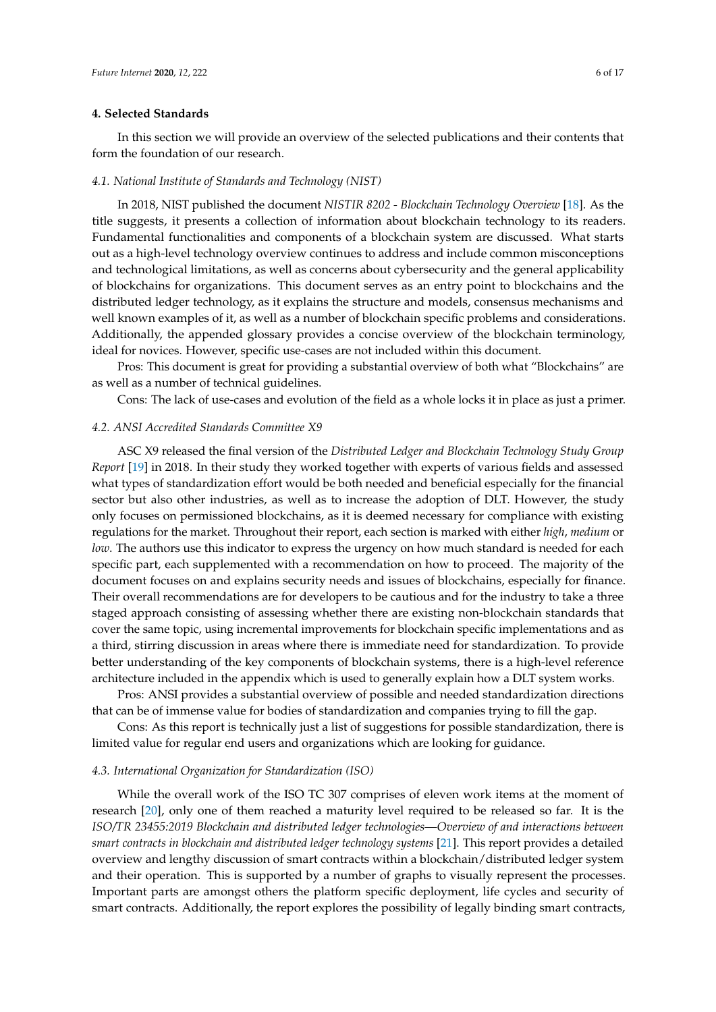#### <span id="page-5-0"></span>**4. Selected Standards**

In this section we will provide an overview of the selected publications and their contents that form the foundation of our research.

#### *4.1. National Institute of Standards and Technology (NIST)*

In 2018, NIST published the document *NISTIR 8202 - Blockchain Technology Overview* [\[18\]](#page-14-15). As the title suggests, it presents a collection of information about blockchain technology to its readers. Fundamental functionalities and components of a blockchain system are discussed. What starts out as a high-level technology overview continues to address and include common misconceptions and technological limitations, as well as concerns about cybersecurity and the general applicability of blockchains for organizations. This document serves as an entry point to blockchains and the distributed ledger technology, as it explains the structure and models, consensus mechanisms and well known examples of it, as well as a number of blockchain specific problems and considerations. Additionally, the appended glossary provides a concise overview of the blockchain terminology, ideal for novices. However, specific use-cases are not included within this document.

Pros: This document is great for providing a substantial overview of both what "Blockchains" are as well as a number of technical guidelines.

Cons: The lack of use-cases and evolution of the field as a whole locks it in place as just a primer.

#### *4.2. ANSI Accredited Standards Committee X9*

ASC X9 released the final version of the *Distributed Ledger and Blockchain Technology Study Group Report* [\[19\]](#page-15-0) in 2018. In their study they worked together with experts of various fields and assessed what types of standardization effort would be both needed and beneficial especially for the financial sector but also other industries, as well as to increase the adoption of DLT. However, the study only focuses on permissioned blockchains, as it is deemed necessary for compliance with existing regulations for the market. Throughout their report, each section is marked with either *high*, *medium* or *low*. The authors use this indicator to express the urgency on how much standard is needed for each specific part, each supplemented with a recommendation on how to proceed. The majority of the document focuses on and explains security needs and issues of blockchains, especially for finance. Their overall recommendations are for developers to be cautious and for the industry to take a three staged approach consisting of assessing whether there are existing non-blockchain standards that cover the same topic, using incremental improvements for blockchain specific implementations and as a third, stirring discussion in areas where there is immediate need for standardization. To provide better understanding of the key components of blockchain systems, there is a high-level reference architecture included in the appendix which is used to generally explain how a DLT system works.

Pros: ANSI provides a substantial overview of possible and needed standardization directions that can be of immense value for bodies of standardization and companies trying to fill the gap.

Cons: As this report is technically just a list of suggestions for possible standardization, there is limited value for regular end users and organizations which are looking for guidance.

#### *4.3. International Organization for Standardization (ISO)*

While the overall work of the ISO TC 307 comprises of eleven work items at the moment of research [\[20\]](#page-15-1), only one of them reached a maturity level required to be released so far. It is the *ISO/TR 23455:2019 Blockchain and distributed ledger technologies—Overview of and interactions between smart contracts in blockchain and distributed ledger technology systems* [\[21\]](#page-15-2). This report provides a detailed overview and lengthy discussion of smart contracts within a blockchain/distributed ledger system and their operation. This is supported by a number of graphs to visually represent the processes. Important parts are amongst others the platform specific deployment, life cycles and security of smart contracts. Additionally, the report explores the possibility of legally binding smart contracts,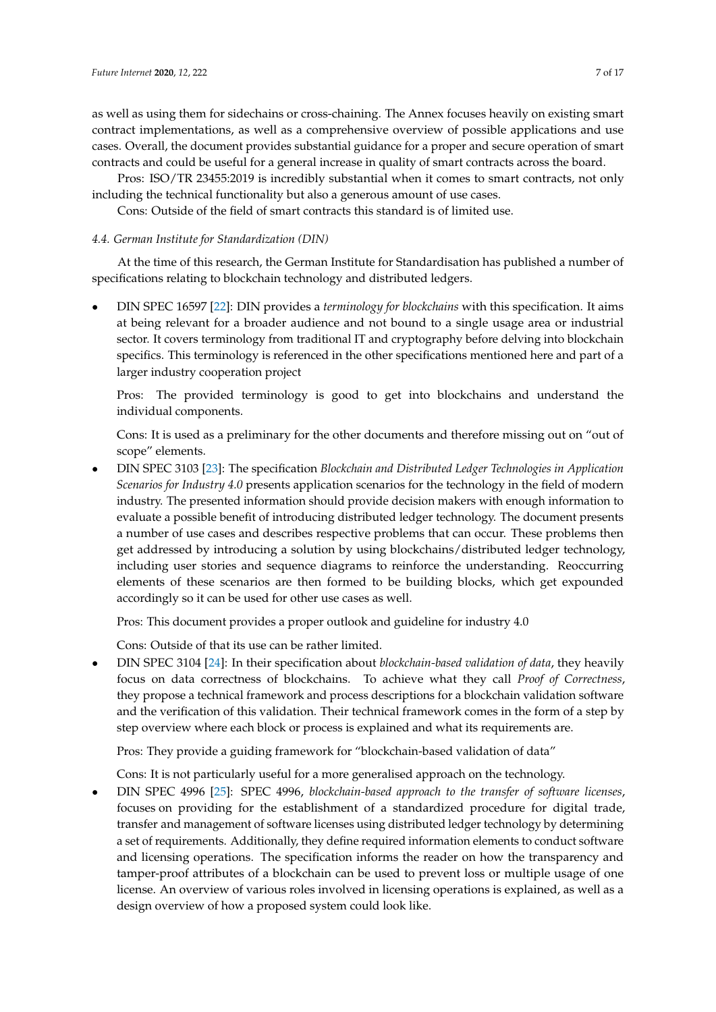as well as using them for sidechains or cross-chaining. The Annex focuses heavily on existing smart contract implementations, as well as a comprehensive overview of possible applications and use cases. Overall, the document provides substantial guidance for a proper and secure operation of smart contracts and could be useful for a general increase in quality of smart contracts across the board.

Pros: ISO/TR 23455:2019 is incredibly substantial when it comes to smart contracts, not only including the technical functionality but also a generous amount of use cases.

Cons: Outside of the field of smart contracts this standard is of limited use.

## *4.4. German Institute for Standardization (DIN)*

At the time of this research, the German Institute for Standardisation has published a number of specifications relating to blockchain technology and distributed ledgers.

• DIN SPEC 16597 [\[22\]](#page-15-3): DIN provides a *terminology for blockchains* with this specification. It aims at being relevant for a broader audience and not bound to a single usage area or industrial sector. It covers terminology from traditional IT and cryptography before delving into blockchain specifics. This terminology is referenced in the other specifications mentioned here and part of a larger industry cooperation project

Pros: The provided terminology is good to get into blockchains and understand the individual components.

Cons: It is used as a preliminary for the other documents and therefore missing out on "out of scope" elements.

• DIN SPEC 3103 [\[23\]](#page-15-4): The specification *Blockchain and Distributed Ledger Technologies in Application Scenarios for Industry 4.0* presents application scenarios for the technology in the field of modern industry. The presented information should provide decision makers with enough information to evaluate a possible benefit of introducing distributed ledger technology. The document presents a number of use cases and describes respective problems that can occur. These problems then get addressed by introducing a solution by using blockchains/distributed ledger technology, including user stories and sequence diagrams to reinforce the understanding. Reoccurring elements of these scenarios are then formed to be building blocks, which get expounded accordingly so it can be used for other use cases as well.

Pros: This document provides a proper outlook and guideline for industry 4.0

Cons: Outside of that its use can be rather limited.

• DIN SPEC 3104 [\[24\]](#page-15-5): In their specification about *blockchain-based validation of data*, they heavily focus on data correctness of blockchains. To achieve what they call *Proof of Correctness*, they propose a technical framework and process descriptions for a blockchain validation software and the verification of this validation. Their technical framework comes in the form of a step by step overview where each block or process is explained and what its requirements are.

Pros: They provide a guiding framework for "blockchain-based validation of data"

Cons: It is not particularly useful for a more generalised approach on the technology.

• DIN SPEC 4996 [\[25\]](#page-15-6): SPEC 4996, *blockchain-based approach to the transfer of software licenses*, focuses on providing for the establishment of a standardized procedure for digital trade, transfer and management of software licenses using distributed ledger technology by determining a set of requirements. Additionally, they define required information elements to conduct software and licensing operations. The specification informs the reader on how the transparency and tamper-proof attributes of a blockchain can be used to prevent loss or multiple usage of one license. An overview of various roles involved in licensing operations is explained, as well as a design overview of how a proposed system could look like.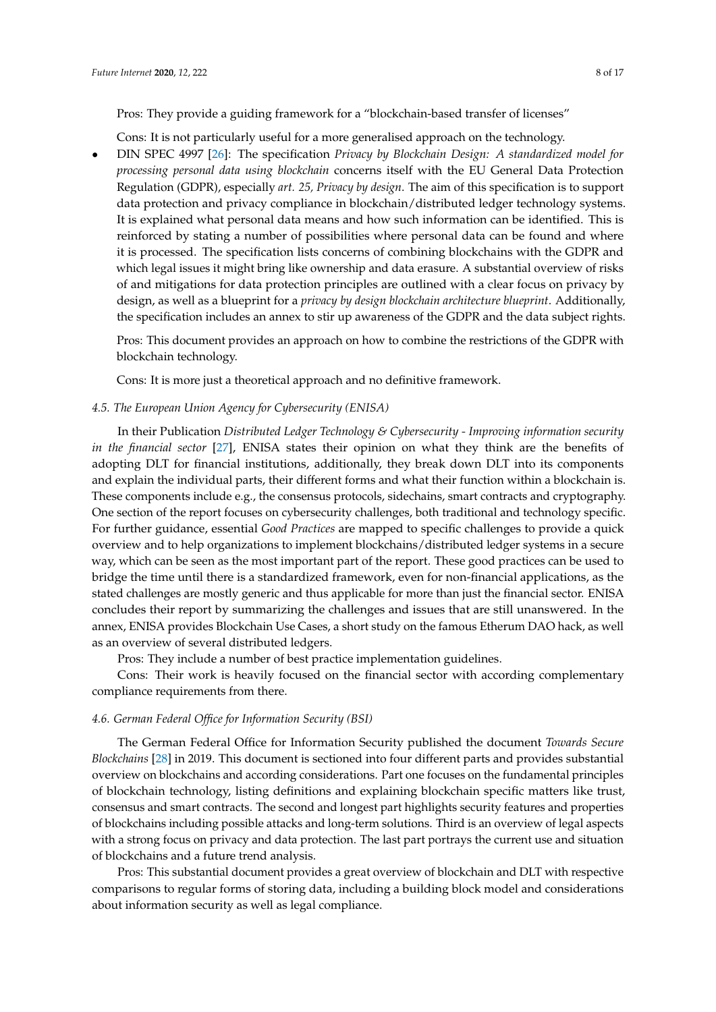Pros: They provide a guiding framework for a "blockchain-based transfer of licenses"

Cons: It is not particularly useful for a more generalised approach on the technology.

• DIN SPEC 4997 [\[26\]](#page-15-7): The specification *Privacy by Blockchain Design: A standardized model for processing personal data using blockchain* concerns itself with the EU General Data Protection Regulation (GDPR), especially *art. 25, Privacy by design*. The aim of this specification is to support data protection and privacy compliance in blockchain/distributed ledger technology systems. It is explained what personal data means and how such information can be identified. This is reinforced by stating a number of possibilities where personal data can be found and where it is processed. The specification lists concerns of combining blockchains with the GDPR and which legal issues it might bring like ownership and data erasure. A substantial overview of risks of and mitigations for data protection principles are outlined with a clear focus on privacy by design, as well as a blueprint for a *privacy by design blockchain architecture blueprint*. Additionally, the specification includes an annex to stir up awareness of the GDPR and the data subject rights.

Pros: This document provides an approach on how to combine the restrictions of the GDPR with blockchain technology.

Cons: It is more just a theoretical approach and no definitive framework.

## *4.5. The European Union Agency for Cybersecurity (ENISA)*

In their Publication *Distributed Ledger Technology & Cybersecurity - Improving information security in the financial sector* [\[27\]](#page-15-8), ENISA states their opinion on what they think are the benefits of adopting DLT for financial institutions, additionally, they break down DLT into its components and explain the individual parts, their different forms and what their function within a blockchain is. These components include e.g., the consensus protocols, sidechains, smart contracts and cryptography. One section of the report focuses on cybersecurity challenges, both traditional and technology specific. For further guidance, essential *Good Practices* are mapped to specific challenges to provide a quick overview and to help organizations to implement blockchains/distributed ledger systems in a secure way, which can be seen as the most important part of the report. These good practices can be used to bridge the time until there is a standardized framework, even for non-financial applications, as the stated challenges are mostly generic and thus applicable for more than just the financial sector. ENISA concludes their report by summarizing the challenges and issues that are still unanswered. In the annex, ENISA provides Blockchain Use Cases, a short study on the famous Etherum DAO hack, as well as an overview of several distributed ledgers.

Pros: They include a number of best practice implementation guidelines.

Cons: Their work is heavily focused on the financial sector with according complementary compliance requirements from there.

#### *4.6. German Federal Office for Information Security (BSI)*

The German Federal Office for Information Security published the document *Towards Secure Blockchains* [\[28\]](#page-15-9) in 2019. This document is sectioned into four different parts and provides substantial overview on blockchains and according considerations. Part one focuses on the fundamental principles of blockchain technology, listing definitions and explaining blockchain specific matters like trust, consensus and smart contracts. The second and longest part highlights security features and properties of blockchains including possible attacks and long-term solutions. Third is an overview of legal aspects with a strong focus on privacy and data protection. The last part portrays the current use and situation of blockchains and a future trend analysis.

Pros: This substantial document provides a great overview of blockchain and DLT with respective comparisons to regular forms of storing data, including a building block model and considerations about information security as well as legal compliance.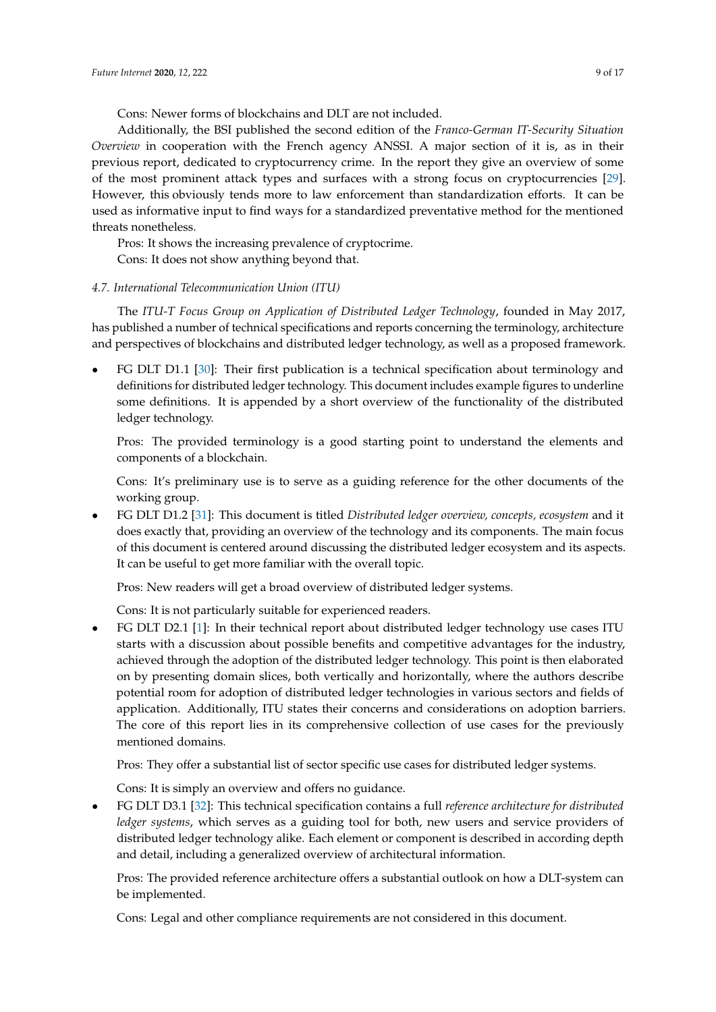Cons: Newer forms of blockchains and DLT are not included.

Additionally, the BSI published the second edition of the *Franco-German IT-Security Situation Overview* in cooperation with the French agency ANSSI. A major section of it is, as in their previous report, dedicated to cryptocurrency crime. In the report they give an overview of some of the most prominent attack types and surfaces with a strong focus on cryptocurrencies [\[29\]](#page-15-10). However, this obviously tends more to law enforcement than standardization efforts. It can be used as informative input to find ways for a standardized preventative method for the mentioned threats nonetheless.

Pros: It shows the increasing prevalence of cryptocrime. Cons: It does not show anything beyond that.

## *4.7. International Telecommunication Union (ITU)*

The *ITU-T Focus Group on Application of Distributed Ledger Technology*, founded in May 2017, has published a number of technical specifications and reports concerning the terminology, architecture and perspectives of blockchains and distributed ledger technology, as well as a proposed framework.

• FG DLT D1.1 [\[30\]](#page-15-11): Their first publication is a technical specification about terminology and definitions for distributed ledger technology. This document includes example figures to underline some definitions. It is appended by a short overview of the functionality of the distributed ledger technology.

Pros: The provided terminology is a good starting point to understand the elements and components of a blockchain.

Cons: It's preliminary use is to serve as a guiding reference for the other documents of the working group.

• FG DLT D1.2 [\[31\]](#page-15-12): This document is titled *Distributed ledger overview, concepts, ecosystem* and it does exactly that, providing an overview of the technology and its components. The main focus of this document is centered around discussing the distributed ledger ecosystem and its aspects. It can be useful to get more familiar with the overall topic.

Pros: New readers will get a broad overview of distributed ledger systems.

Cons: It is not particularly suitable for experienced readers.

• FG DLT D2.1 [\[1\]](#page-14-0): In their technical report about distributed ledger technology use cases ITU starts with a discussion about possible benefits and competitive advantages for the industry, achieved through the adoption of the distributed ledger technology. This point is then elaborated on by presenting domain slices, both vertically and horizontally, where the authors describe potential room for adoption of distributed ledger technologies in various sectors and fields of application. Additionally, ITU states their concerns and considerations on adoption barriers. The core of this report lies in its comprehensive collection of use cases for the previously mentioned domains.

Pros: They offer a substantial list of sector specific use cases for distributed ledger systems.

Cons: It is simply an overview and offers no guidance.

• FG DLT D3.1 [\[32\]](#page-15-13): This technical specification contains a full *reference architecture for distributed ledger systems*, which serves as a guiding tool for both, new users and service providers of distributed ledger technology alike. Each element or component is described in according depth and detail, including a generalized overview of architectural information.

Pros: The provided reference architecture offers a substantial outlook on how a DLT-system can be implemented.

Cons: Legal and other compliance requirements are not considered in this document.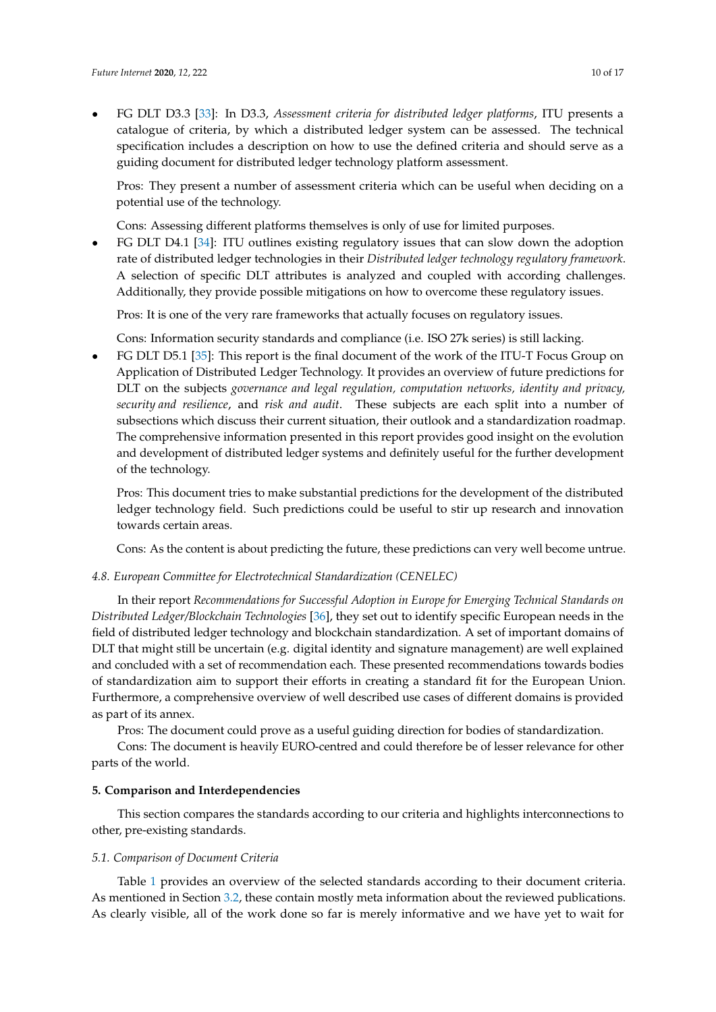• FG DLT D3.3 [\[33\]](#page-15-14): In D3.3, *Assessment criteria for distributed ledger platforms*, ITU presents a catalogue of criteria, by which a distributed ledger system can be assessed. The technical specification includes a description on how to use the defined criteria and should serve as a guiding document for distributed ledger technology platform assessment.

Pros: They present a number of assessment criteria which can be useful when deciding on a potential use of the technology.

Cons: Assessing different platforms themselves is only of use for limited purposes.

• FG DLT D4.1 [\[34\]](#page-15-15): ITU outlines existing regulatory issues that can slow down the adoption rate of distributed ledger technologies in their *Distributed ledger technology regulatory framework*. A selection of specific DLT attributes is analyzed and coupled with according challenges. Additionally, they provide possible mitigations on how to overcome these regulatory issues.

Pros: It is one of the very rare frameworks that actually focuses on regulatory issues.

Cons: Information security standards and compliance (i.e. ISO 27k series) is still lacking.

• FG DLT D5.1 [\[35\]](#page-15-16): This report is the final document of the work of the ITU-T Focus Group on Application of Distributed Ledger Technology. It provides an overview of future predictions for DLT on the subjects *governance and legal regulation, computation networks, identity and privacy, security and resilience*, and *risk and audit*. These subjects are each split into a number of subsections which discuss their current situation, their outlook and a standardization roadmap. The comprehensive information presented in this report provides good insight on the evolution and development of distributed ledger systems and definitely useful for the further development of the technology.

Pros: This document tries to make substantial predictions for the development of the distributed ledger technology field. Such predictions could be useful to stir up research and innovation towards certain areas.

Cons: As the content is about predicting the future, these predictions can very well become untrue.

#### *4.8. European Committee for Electrotechnical Standardization (CENELEC)*

In their report *Recommendations for Successful Adoption in Europe for Emerging Technical Standards on Distributed Ledger/Blockchain Technologies* [\[36\]](#page-15-17), they set out to identify specific European needs in the field of distributed ledger technology and blockchain standardization. A set of important domains of DLT that might still be uncertain (e.g. digital identity and signature management) are well explained and concluded with a set of recommendation each. These presented recommendations towards bodies of standardization aim to support their efforts in creating a standard fit for the European Union. Furthermore, a comprehensive overview of well described use cases of different domains is provided as part of its annex.

Pros: The document could prove as a useful guiding direction for bodies of standardization.

Cons: The document is heavily EURO-centred and could therefore be of lesser relevance for other parts of the world.

#### <span id="page-9-0"></span>**5. Comparison and Interdependencies**

This section compares the standards according to our criteria and highlights interconnections to other, pre-existing standards.

#### <span id="page-9-1"></span>*5.1. Comparison of Document Criteria*

Table [1](#page-10-0) provides an overview of the selected standards according to their document criteria. As mentioned in Section [3.2,](#page-3-0) these contain mostly meta information about the reviewed publications. As clearly visible, all of the work done so far is merely informative and we have yet to wait for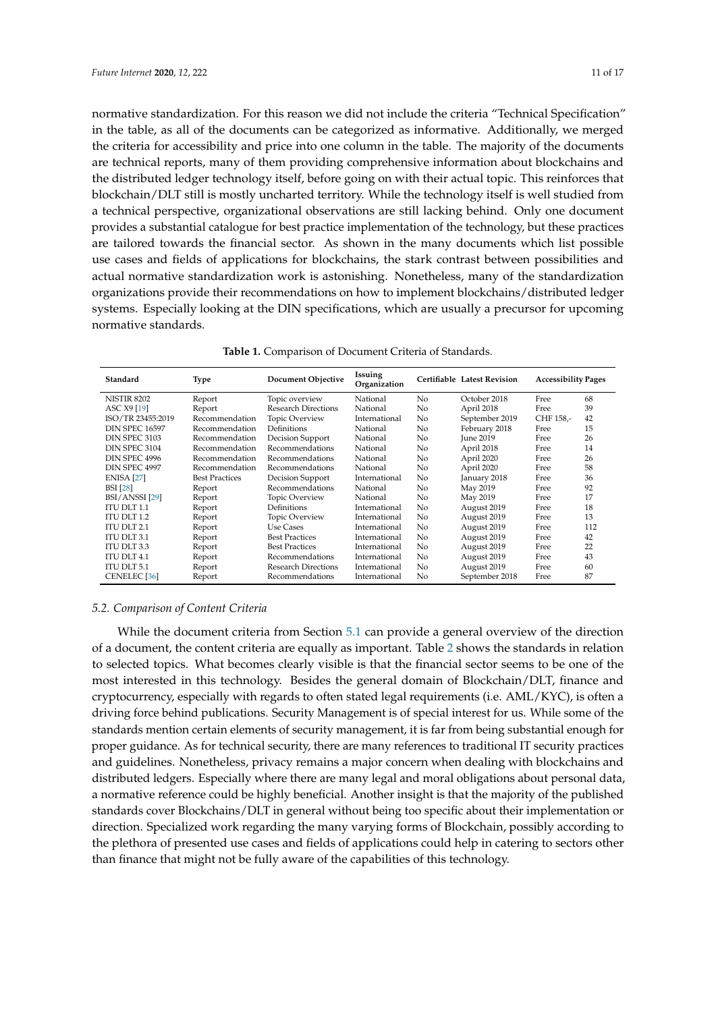normative standardization. For this reason we did not include the criteria "Technical Specification" in the table, as all of the documents can be categorized as informative. Additionally, we merged the criteria for accessibility and price into one column in the table. The majority of the documents are technical reports, many of them providing comprehensive information about blockchains and the distributed ledger technology itself, before going on with their actual topic. This reinforces that blockchain/DLT still is mostly uncharted territory. While the technology itself is well studied from a technical perspective, organizational observations are still lacking behind. Only one document provides a substantial catalogue for best practice implementation of the technology, but these practices are tailored towards the financial sector. As shown in the many documents which list possible use cases and fields of applications for blockchains, the stark contrast between possibilities and actual normative standardization work is astonishing. Nonetheless, many of the standardization organizations provide their recommendations on how to implement blockchains/distributed ledger systems. Especially looking at the DIN specifications, which are usually a precursor for upcoming normative standards.

<span id="page-10-0"></span>

| Standard              | Type                  | <b>Document Objective</b>  | Issuing<br>Organization |                | Certifiable Latest Revision | <b>Accessibility Pages</b> |     |
|-----------------------|-----------------------|----------------------------|-------------------------|----------------|-----------------------------|----------------------------|-----|
| <b>NISTIR 8202</b>    | Report                | Topic overview             | National                | No             | October 2018                | Free                       | 68  |
| ASC X9 [19]           | Report                | <b>Research Directions</b> | National                | No             | April 2018                  | Free                       | 39  |
| ISO/TR 23455:2019     | Recommendation        | Topic Overview             | International           | N <sub>o</sub> | September 2019              | CHF 158.-                  | 42  |
| <b>DIN SPEC 16597</b> | Recommendation        | Definitions                | National                | N <sub>o</sub> | February 2018               | Free                       | 15  |
| DIN SPEC 3103         | Recommendation        | Decision Support           | National                | N <sub>o</sub> | <b>June 2019</b>            | Free                       | 26  |
| DIN SPEC 3104         | Recommendation        | Recommendations            | National                | N <sub>o</sub> | April 2018                  | Free                       | 14  |
| DIN SPEC 4996         | Recommendation        | Recommendations            | National                | N <sub>o</sub> | April 2020                  | Free                       | 26  |
| DIN SPEC 4997         | Recommendation        | Recommendations            | National                | No             | April 2020                  | Free                       | 58  |
| <b>ENISA</b> [27]     | <b>Best Practices</b> | Decision Support           | International           | N <sub>o</sub> | January 2018                | Free                       | 36  |
| <b>BSI</b> [28]       | Report                | Recommendations            | National                | N <sub>o</sub> | May 2019                    | Free                       | 92  |
| BSI/ANSSI [29]        | Report                | Topic Overview             | National                | No             | May 2019                    | Free                       | 17  |
| ITU DLT $1.1$         | Report                | Definitions                | International           | No             | August 2019                 | Free                       | 18  |
| <b>ITU DLT 1.2</b>    | Report                | Topic Overview             | International           | N <sub>o</sub> | August 2019                 | Free                       | 13  |
| ITU DLT 2.1           | Report                | Use Cases                  | International           | No             | August 2019                 | Free                       | 112 |
| <b>ITU DLT 3.1</b>    | Report                | <b>Best Practices</b>      | International           | No             | August 2019                 | Free                       | 42  |
| ITU DLT 3.3           | Report                | <b>Best Practices</b>      | International           | No             | August 2019                 | Free                       | 22  |
| ITU DLT 4.1           | Report                | Recommendations            | International           | No             | August 2019                 | Free                       | 43  |
| ITU DLT 5.1           | Report                | <b>Research Directions</b> | International           | No             | August 2019                 | Free                       | 60  |
| <b>CENELEC</b> [36]   | Report                | Recommendations            | International           | No             | September 2018              | Free                       | 87  |

|  |  | Table 1. Comparison of Document Criteria of Standards. |  |  |
|--|--|--------------------------------------------------------|--|--|
|--|--|--------------------------------------------------------|--|--|

## *5.2. Comparison of Content Criteria*

While the document criteria from Section [5.1](#page-9-1) can provide a general overview of the direction of a document, the content criteria are equally as important. Table [2](#page-11-0) shows the standards in relation to selected topics. What becomes clearly visible is that the financial sector seems to be one of the most interested in this technology. Besides the general domain of Blockchain/DLT, finance and cryptocurrency, especially with regards to often stated legal requirements (i.e. AML/KYC), is often a driving force behind publications. Security Management is of special interest for us. While some of the standards mention certain elements of security management, it is far from being substantial enough for proper guidance. As for technical security, there are many references to traditional IT security practices and guidelines. Nonetheless, privacy remains a major concern when dealing with blockchains and distributed ledgers. Especially where there are many legal and moral obligations about personal data, a normative reference could be highly beneficial. Another insight is that the majority of the published standards cover Blockchains/DLT in general without being too specific about their implementation or direction. Specialized work regarding the many varying forms of Blockchain, possibly according to the plethora of presented use cases and fields of applications could help in catering to sectors other than finance that might not be fully aware of the capabilities of this technology.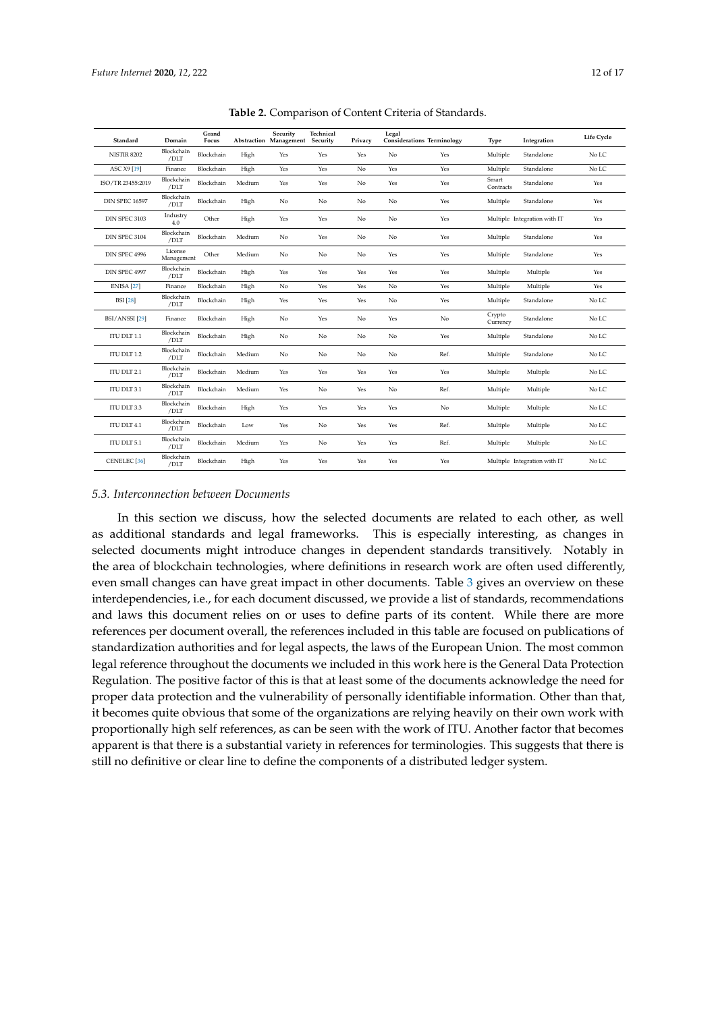<span id="page-11-0"></span>

| Standard                  | Domain                | Grand<br>Focus |        | Security<br>Abstraction Management Security | Technical | Privacy | Legal | <b>Considerations Terminology</b> | Type               | Integration                  | Life Cycle |
|---------------------------|-----------------------|----------------|--------|---------------------------------------------|-----------|---------|-------|-----------------------------------|--------------------|------------------------------|------------|
| <b>NISTIR 8202</b>        | Blockchain<br>/DLT    | Blockchain     | High   | Yes                                         | Yes       | Yes     | No    | Yes                               | Multiple           | Standalone                   | No LC      |
| ASC X9 [19]               | Finance               | Blockchain     | High   | Yes                                         | Yes       | No      | Yes   | Yes                               | Multiple           | Standalone                   | No LC      |
| ISO/TR 23455:2019         | Blockchain<br>/DLT    | Blockchain     | Medium | Yes                                         | Yes       | No      | Yes   | Yes                               | Smart<br>Contracts | Standalone                   | Yes        |
| <b>DIN SPEC 16597</b>     | Blockchain<br>/DLT    | Blockchain     | High   | No                                          | No        | No      | No    | Yes                               | Multiple           | Standalone                   | Yes        |
| DIN SPEC 3103             | Industry<br>4.0       | Other          | High   | Yes                                         | Yes       | No      | No    | Yes                               |                    | Multiple Integration with IT | Yes        |
| DIN SPEC 3104             | Blockchain<br>/DLT    | Blockchain     | Medium | No                                          | Yes       | No      | No    | Yes                               | Multiple           | Standalone                   | Yes        |
| DIN SPEC 4996             | License<br>Management | Other          | Medium | No                                          | No        | No      | Yes   | Yes                               | Multiple           | Standalone                   | Yes        |
| DIN SPEC 4997             | Blockchain<br>/DLT    | Blockchain     | High   | Yes                                         | Yes       | Yes     | Yes   | Yes                               | Multiple           | Multiple                     | Yes        |
| <b>ENISA</b> [27]         | Finance               | Blockchain     | High   | No                                          | Yes       | Yes     | No    | Yes                               | Multiple           | Multiple                     | Yes        |
| <b>BSI</b> [28]           | Blockchain<br>/DLT    | Blockchain     | High   | Yes                                         | Yes       | Yes     | No    | Yes                               | Multiple           | Standalone                   | No LC      |
| BSI/ANSSI <sup>[29]</sup> | Finance               | Blockchain     | High   | No                                          | Yes       | No      | Yes   | No                                | Crypto<br>Currency | Standalone                   | No LC      |
| ITU DLT 1.1               | Blockchain<br>/DLT    | Blockchain     | High   | No                                          | No        | No      | No    | Yes                               | Multiple           | Standalone                   | No LC      |
| ITU DLT 1.2               | Blockchain<br>/DLT    | Blockchain     | Medium | No                                          | No        | No      | No    | Ref.                              | Multiple           | Standalone                   | No LC      |
| ITU DLT 2.1               | Blockchain<br>/DLT    | Blockchain     | Medium | Yes                                         | Yes       | Yes     | Yes   | Yes                               | Multiple           | Multiple                     | No LC      |
| ITU DLT 3.1               | Blockchain<br>/DLT    | Blockchain     | Medium | Yes                                         | No        | Yes     | No    | Ref.                              | Multiple           | Multiple                     | No LC      |
| ITU DLT 3.3               | Blockchain<br>/DLT    | Blockchain     | High   | Yes                                         | Yes       | Yes     | Yes   | No                                | Multiple           | Multiple                     | No LC      |
| ITU DLT 4.1               | Blockchain<br>/DLT    | Blockchain     | Low    | Yes                                         | No        | Yes     | Yes   | Ref.                              | Multiple           | Multiple                     | No LC      |
| ITU DLT 5.1               | Blockchain<br>/DLT    | Blockchain     | Medium | Yes                                         | No        | Yes     | Yes   | Ref.                              | Multiple           | Multiple                     | No LC      |
| CENELEC <sup>[36]</sup>   | Blockchain<br>/DLT    | Blockchain     | High   | Yes                                         | Yes       | Yes     | Yes   | Yes                               |                    | Multiple Integration with IT | No LC      |

**Table 2.** Comparison of Content Criteria of Standards.

## *5.3. Interconnection between Documents*

In this section we discuss, how the selected documents are related to each other, as well as additional standards and legal frameworks. This is especially interesting, as changes in selected documents might introduce changes in dependent standards transitively. Notably in the area of blockchain technologies, where definitions in research work are often used differently, even small changes can have great impact in other documents. Table [3](#page-12-1) gives an overview on these interdependencies, i.e., for each document discussed, we provide a list of standards, recommendations and laws this document relies on or uses to define parts of its content. While there are more references per document overall, the references included in this table are focused on publications of standardization authorities and for legal aspects, the laws of the European Union. The most common legal reference throughout the documents we included in this work here is the General Data Protection Regulation. The positive factor of this is that at least some of the documents acknowledge the need for proper data protection and the vulnerability of personally identifiable information. Other than that, it becomes quite obvious that some of the organizations are relying heavily on their own work with proportionally high self references, as can be seen with the work of ITU. Another factor that becomes apparent is that there is a substantial variety in references for terminologies. This suggests that there is still no definitive or clear line to define the components of a distributed ledger system.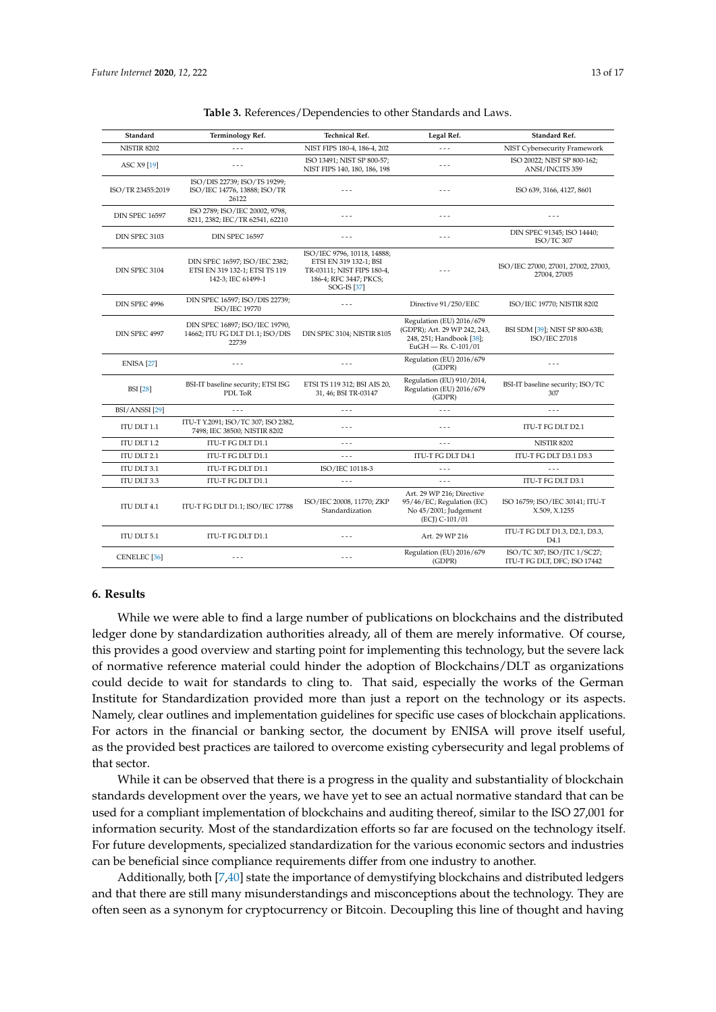<span id="page-12-1"></span>

| Standard                  | <b>Terminology Ref.</b>                                                               | <b>Technical Ref.</b>                                                                                                        | Legal Ref.                                                                                                    | Standard Ref.                                               |  |
|---------------------------|---------------------------------------------------------------------------------------|------------------------------------------------------------------------------------------------------------------------------|---------------------------------------------------------------------------------------------------------------|-------------------------------------------------------------|--|
| <b>NISTIR 8202</b>        | $\sim$                                                                                | NIST FIPS 180-4, 186-4, 202                                                                                                  | $- -$                                                                                                         | NIST Cybersecurity Framework                                |  |
| ASC X9 [19]               | $- - -$                                                                               | ISO 13491; NIST SP 800-57;<br>NIST FIPS 140, 180, 186, 198                                                                   | $- - -$                                                                                                       | ISO 20022; NIST SP 800-162;<br>ANSI/INCITS 359              |  |
| ISO/TR 23455:2019         | ISO/DIS 22739; ISO/TS 19299;<br>ISO/IEC 14776, 13888; ISO/TR<br>26122                 |                                                                                                                              | $- - -$                                                                                                       | ISO 639, 3166, 4127, 8601                                   |  |
| <b>DIN SPEC 16597</b>     | ISO 2789; ISO/IEC 20002, 9798,<br>8211, 2382; IEC/TR 62541, 62210                     | $- -$                                                                                                                        | $- - -$                                                                                                       |                                                             |  |
| DIN SPEC 3103             | <b>DIN SPEC 16597</b>                                                                 | $- -$                                                                                                                        | $\sim$ $\sim$ $\sim$                                                                                          | DIN SPEC 91345; ISO 14440;<br>ISO/TC 307                    |  |
| DIN SPEC 3104             | DIN SPEC 16597; ISO/IEC 2382;<br>ETSI EN 319 132-1; ETSI TS 119<br>142-3; IEC 61499-1 | ISO/IEC 9796, 10118, 14888;<br>ETSI EN 319 132-1; BSI<br>TR-03111; NIST FIPS 180-4,<br>186-4; RFC 3447; PKCS;<br>SOG-IS [37] | $\sim$ $\sim$ $\sim$                                                                                          | ISO/IEC 27000, 27001, 27002, 27003,<br>27004, 27005         |  |
| DIN SPEC 4996             | DIN SPEC 16597; ISO/DIS 22739;<br>ISO/IEC 19770                                       | - - -                                                                                                                        | Directive 91/250/EEC                                                                                          | ISO/IEC 19770; NISTIR 8202                                  |  |
| DIN SPEC 4997             | DIN SPEC 16897; ISO/IEC 19790,<br>14662; ITU FG DLT D1.1; ISO/DIS<br>22739            | DIN SPEC 3104; NISTIR 8105                                                                                                   | Regulation (EU) 2016/679<br>(GDPR); Art. 29 WP 242, 243,<br>248, 251; Handbook [38];<br>$EuGH$ - Rs. C-101/01 | BSI SDM [39]; NIST SP 800-63B;<br>ISO/IEC 27018             |  |
| <b>ENISA</b> [27]         | $- - -$                                                                               | - - -                                                                                                                        | Regulation (EU) 2016/679<br>(GDPR)                                                                            | $ -$                                                        |  |
| <b>BSI</b> [28]           | BSI-IT baseline security; ETSI ISG<br>PDL ToR                                         | ETSI TS 119 312; BSI AIS 20,<br>31, 46; BSI TR-03147                                                                         | Regulation (EU) 910/2014,<br>Regulation (EU) 2016/679<br>(GDPR)                                               | BSI-IT baseline security; ISO/TC<br>307                     |  |
| BSI/ANSSI <sup>[29]</sup> | $- - -$                                                                               | $- - -$                                                                                                                      | $- - -$                                                                                                       | $- - -$                                                     |  |
| ITU DLT 1.1               | ITU-T Y.2091; ISO/TC 307; ISO 2382,<br>7498; IEC 38500; NISTIR 8202                   | $- - -$                                                                                                                      | $- - -$                                                                                                       | ITU-T FG DLT D2.1                                           |  |
| ITU DLT 1.2               | ITU-T FG DLT D1.1                                                                     | $- - -$                                                                                                                      | $- - -$                                                                                                       | <b>NISTIR 8202</b>                                          |  |
| ITU DLT 2.1               | ITU-T FG DLT D1.1                                                                     | $- - -$                                                                                                                      | ITU-T FG DLT D4.1                                                                                             | ITU-T FG DLT D3.1 D3.3                                      |  |
| ITU DLT 3.1               | ITU-T FG DLT D1.1                                                                     | ISO/IEC 10118-3                                                                                                              | $- - -$                                                                                                       | - - -                                                       |  |
| ITU DLT 3.3               | ITU-T FG DLT D1.1                                                                     | $- - -$                                                                                                                      | $- - -$                                                                                                       | ITU-T FG DLT D3.1                                           |  |
| ITU DLT 4.1               | ITU-T FG DLT D1.1; ISO/IEC 17788                                                      | ISO/IEC 20008, 11770; ZKP<br>Standardization                                                                                 | Art. 29 WP 216; Directive<br>95/46/EC; Regulation (EC)<br>No 45/2001; Judgement<br>(ECI) C-101/01             | ISO 16759; ISO/IEC 30141; ITU-T<br>X.509, X.1255            |  |
| ITU DLT 5.1               | ITU-T FG DLT D1.1                                                                     | - - -                                                                                                                        | Art. 29 WP 216                                                                                                | ITU-T FG DLT D1.3, D2.1, D3.3,<br>D4.1                      |  |
| CENELEC <sup>[36]</sup>   | $- - -$                                                                               | .                                                                                                                            | Regulation (EU) 2016/679<br>(GDPR)                                                                            | ISO/TC 307; ISO/JTC 1/SC27;<br>ITU-T FG DLT, DFC; ISO 17442 |  |

#### <span id="page-12-0"></span>**6. Results**

While we were able to find a large number of publications on blockchains and the distributed ledger done by standardization authorities already, all of them are merely informative. Of course, this provides a good overview and starting point for implementing this technology, but the severe lack of normative reference material could hinder the adoption of Blockchains/DLT as organizations could decide to wait for standards to cling to. That said, especially the works of the German Institute for Standardization provided more than just a report on the technology or its aspects. Namely, clear outlines and implementation guidelines for specific use cases of blockchain applications. For actors in the financial or banking sector, the document by ENISA will prove itself useful, as the provided best practices are tailored to overcome existing cybersecurity and legal problems of that sector.

While it can be observed that there is a progress in the quality and substantiality of blockchain standards development over the years, we have yet to see an actual normative standard that can be used for a compliant implementation of blockchains and auditing thereof, similar to the ISO 27,001 for information security. Most of the standardization efforts so far are focused on the technology itself. For future developments, specialized standardization for the various economic sectors and industries can be beneficial since compliance requirements differ from one industry to another.

Additionally, both [\[7](#page-14-5)[,40\]](#page-16-0) state the importance of demystifying blockchains and distributed ledgers and that there are still many misunderstandings and misconceptions about the technology. They are often seen as a synonym for cryptocurrency or Bitcoin. Decoupling this line of thought and having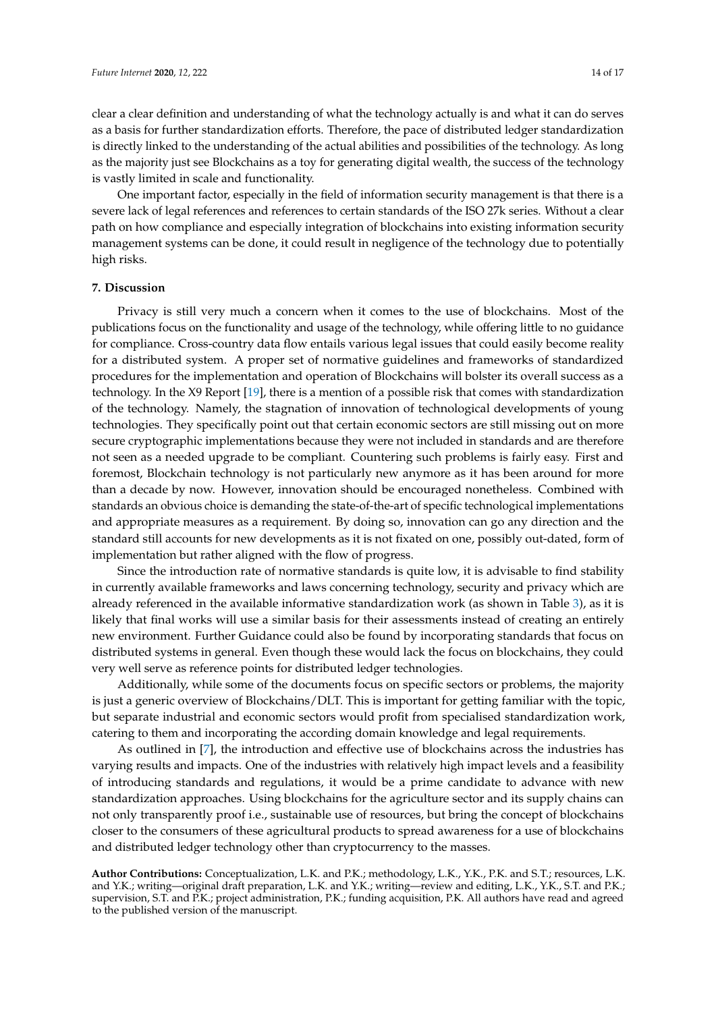clear a clear definition and understanding of what the technology actually is and what it can do serves as a basis for further standardization efforts. Therefore, the pace of distributed ledger standardization is directly linked to the understanding of the actual abilities and possibilities of the technology. As long as the majority just see Blockchains as a toy for generating digital wealth, the success of the technology is vastly limited in scale and functionality.

One important factor, especially in the field of information security management is that there is a severe lack of legal references and references to certain standards of the ISO 27k series. Without a clear path on how compliance and especially integration of blockchains into existing information security management systems can be done, it could result in negligence of the technology due to potentially high risks.

## <span id="page-13-0"></span>**7. Discussion**

Privacy is still very much a concern when it comes to the use of blockchains. Most of the publications focus on the functionality and usage of the technology, while offering little to no guidance for compliance. Cross-country data flow entails various legal issues that could easily become reality for a distributed system. A proper set of normative guidelines and frameworks of standardized procedures for the implementation and operation of Blockchains will bolster its overall success as a technology. In the X9 Report [\[19\]](#page-15-0), there is a mention of a possible risk that comes with standardization of the technology. Namely, the stagnation of innovation of technological developments of young technologies. They specifically point out that certain economic sectors are still missing out on more secure cryptographic implementations because they were not included in standards and are therefore not seen as a needed upgrade to be compliant. Countering such problems is fairly easy. First and foremost, Blockchain technology is not particularly new anymore as it has been around for more than a decade by now. However, innovation should be encouraged nonetheless. Combined with standards an obvious choice is demanding the state-of-the-art of specific technological implementations and appropriate measures as a requirement. By doing so, innovation can go any direction and the standard still accounts for new developments as it is not fixated on one, possibly out-dated, form of implementation but rather aligned with the flow of progress.

Since the introduction rate of normative standards is quite low, it is advisable to find stability in currently available frameworks and laws concerning technology, security and privacy which are already referenced in the available informative standardization work (as shown in Table [3\)](#page-12-1), as it is likely that final works will use a similar basis for their assessments instead of creating an entirely new environment. Further Guidance could also be found by incorporating standards that focus on distributed systems in general. Even though these would lack the focus on blockchains, they could very well serve as reference points for distributed ledger technologies.

Additionally, while some of the documents focus on specific sectors or problems, the majority is just a generic overview of Blockchains/DLT. This is important for getting familiar with the topic, but separate industrial and economic sectors would profit from specialised standardization work, catering to them and incorporating the according domain knowledge and legal requirements.

As outlined in [\[7\]](#page-14-5), the introduction and effective use of blockchains across the industries has varying results and impacts. One of the industries with relatively high impact levels and a feasibility of introducing standards and regulations, it would be a prime candidate to advance with new standardization approaches. Using blockchains for the agriculture sector and its supply chains can not only transparently proof i.e., sustainable use of resources, but bring the concept of blockchains closer to the consumers of these agricultural products to spread awareness for a use of blockchains and distributed ledger technology other than cryptocurrency to the masses.

**Author Contributions:** Conceptualization, L.K. and P.K.; methodology, L.K., Y.K., P.K. and S.T.; resources, L.K. and Y.K.; writing—original draft preparation, L.K. and Y.K.; writing—review and editing, L.K., Y.K., S.T. and P.K.; supervision, S.T. and P.K.; project administration, P.K.; funding acquisition, P.K. All authors have read and agreed to the published version of the manuscript.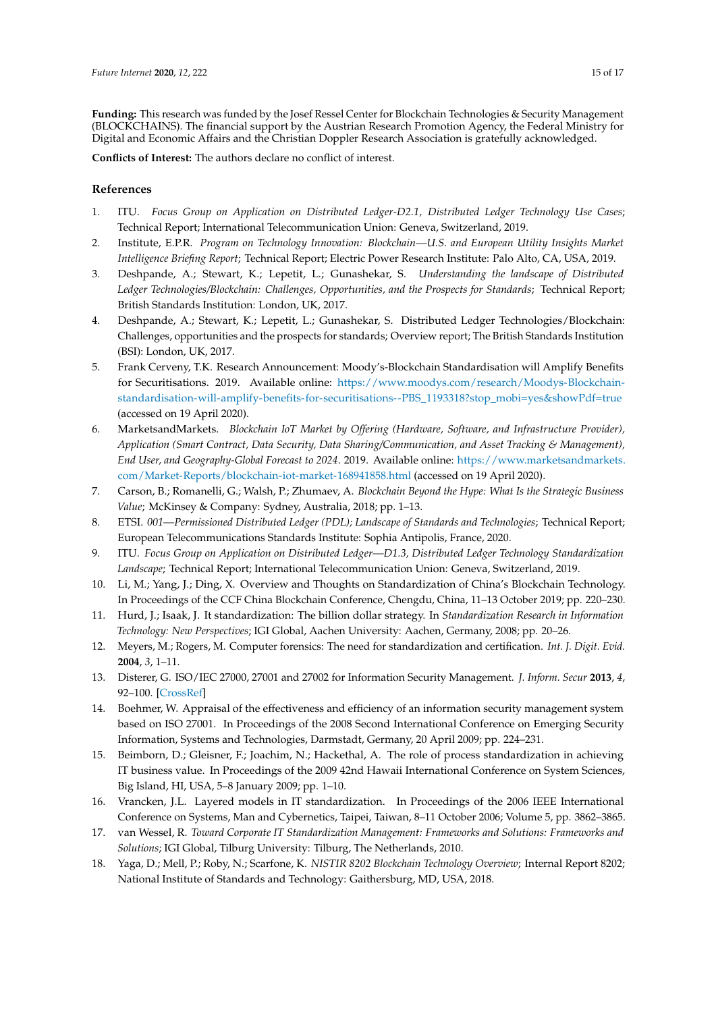**Funding:** This research was funded by the Josef Ressel Center for Blockchain Technologies & Security Management (BLOCKCHAINS). The financial support by the Austrian Research Promotion Agency, the Federal Ministry for Digital and Economic Affairs and the Christian Doppler Research Association is gratefully acknowledged.

**Conflicts of Interest:** The authors declare no conflict of interest.

# **References**

- <span id="page-14-0"></span>1. ITU. *Focus Group on Application on Distributed Ledger-D2.1, Distributed Ledger Technology Use Cases*; Technical Report; International Telecommunication Union: Geneva, Switzerland, 2019.
- <span id="page-14-1"></span>2. Institute, E.P.R. *Program on Technology Innovation: Blockchain—U.S. and European Utility Insights Market Intelligence Briefing Report*; Technical Report; Electric Power Research Institute: Palo Alto, CA, USA, 2019.
- <span id="page-14-6"></span>3. Deshpande, A.; Stewart, K.; Lepetit, L.; Gunashekar, S. *Understanding the landscape of Distributed Ledger Technologies/Blockchain: Challenges, Opportunities, and the Prospects for Standards*; Technical Report; British Standards Institution: London, UK, 2017.
- <span id="page-14-2"></span>4. Deshpande, A.; Stewart, K.; Lepetit, L.; Gunashekar, S. Distributed Ledger Technologies/Blockchain: Challenges, opportunities and the prospects for standards; Overview report; The British Standards Institution (BSI): London, UK, 2017.
- <span id="page-14-3"></span>5. Frank Cerveny, T.K. Research Announcement: Moody's-Blockchain Standardisation will Amplify Benefits for Securitisations. 2019. Available online: [https://www.moodys.com/research/Moodys-Blockchain](https://www.moodys.com/research/Moodys-Blockchain-standardisation-will-amplify-benefits-for-securitisations--PBS_1193318?stop_mobi=yes&showPdf=true)[standardisation-will-amplify-benefits-for-securitisations--PBS\\_1193318?stop\\_mobi=yes&showPdf=true](https://www.moodys.com/research/Moodys-Blockchain-standardisation-will-amplify-benefits-for-securitisations--PBS_1193318?stop_mobi=yes&showPdf=true) (accessed on 19 April 2020).
- <span id="page-14-4"></span>6. MarketsandMarkets. *Blockchain IoT Market by Offering (Hardware, Software, and Infrastructure Provider), Application (Smart Contract, Data Security, Data Sharing/Communication, and Asset Tracking & Management), End User, and Geography-Global Forecast to 2024*. 2019. Available online: [https://www.marketsandmarkets.](https://www.marketsandmarkets.com/Market-Reports/blockchain-iot-market-168941858.html) [com/Market-Reports/blockchain-iot-market-168941858.html](https://www.marketsandmarkets.com/Market-Reports/blockchain-iot-market-168941858.html) (accessed on 19 April 2020).
- <span id="page-14-5"></span>7. Carson, B.; Romanelli, G.; Walsh, P.; Zhumaev, A. *Blockchain Beyond the Hype: What Is the Strategic Business Value*; McKinsey & Company: Sydney, Australia, 2018; pp. 1–13.
- <span id="page-14-7"></span>8. ETSI. *001—Permissioned Distributed Ledger (PDL); Landscape of Standards and Technologies*; Technical Report; European Telecommunications Standards Institute: Sophia Antipolis, France, 2020.
- <span id="page-14-8"></span>9. ITU. *Focus Group on Application on Distributed Ledger—D1.3, Distributed Ledger Technology Standardization Landscape*; Technical Report; International Telecommunication Union: Geneva, Switzerland, 2019.
- <span id="page-14-9"></span>10. Li, M.; Yang, J.; Ding, X. Overview and Thoughts on Standardization of China's Blockchain Technology. In Proceedings of the CCF China Blockchain Conference, Chengdu, China, 11–13 October 2019; pp. 220–230.
- <span id="page-14-10"></span>11. Hurd, J.; Isaak, J. It standardization: The billion dollar strategy. In *Standardization Research in Information Technology: New Perspectives*; IGI Global, Aachen University: Aachen, Germany, 2008; pp. 20–26.
- <span id="page-14-11"></span>12. Meyers, M.; Rogers, M. Computer forensics: The need for standardization and certification. *Int. J. Digit. Evid.* **2004**, *3*, 1–11.
- 13. Disterer, G. ISO/IEC 27000, 27001 and 27002 for Information Security Management. *J. Inform. Secur* **2013**, *4*, 92–100. [\[CrossRef\]](http://dx.doi.org/10.4236/jis.2013.42011)
- <span id="page-14-12"></span>14. Boehmer, W. Appraisal of the effectiveness and efficiency of an information security management system based on ISO 27001. In Proceedings of the 2008 Second International Conference on Emerging Security Information, Systems and Technologies, Darmstadt, Germany, 20 April 2009; pp. 224–231.
- <span id="page-14-13"></span>15. Beimborn, D.; Gleisner, F.; Joachim, N.; Hackethal, A. The role of process standardization in achieving IT business value. In Proceedings of the 2009 42nd Hawaii International Conference on System Sciences, Big Island, HI, USA, 5–8 January 2009; pp. 1–10.
- 16. Vrancken, J.L. Layered models in IT standardization. In Proceedings of the 2006 IEEE International Conference on Systems, Man and Cybernetics, Taipei, Taiwan, 8–11 October 2006; Volume 5, pp. 3862–3865.
- <span id="page-14-14"></span>17. van Wessel, R. *Toward Corporate IT Standardization Management: Frameworks and Solutions: Frameworks and Solutions*; IGI Global, Tilburg University: Tilburg, The Netherlands, 2010.
- <span id="page-14-15"></span>18. Yaga, D.; Mell, P.; Roby, N.; Scarfone, K. *NISTIR 8202 Blockchain Technology Overview*; Internal Report 8202; National Institute of Standards and Technology: Gaithersburg, MD, USA, 2018.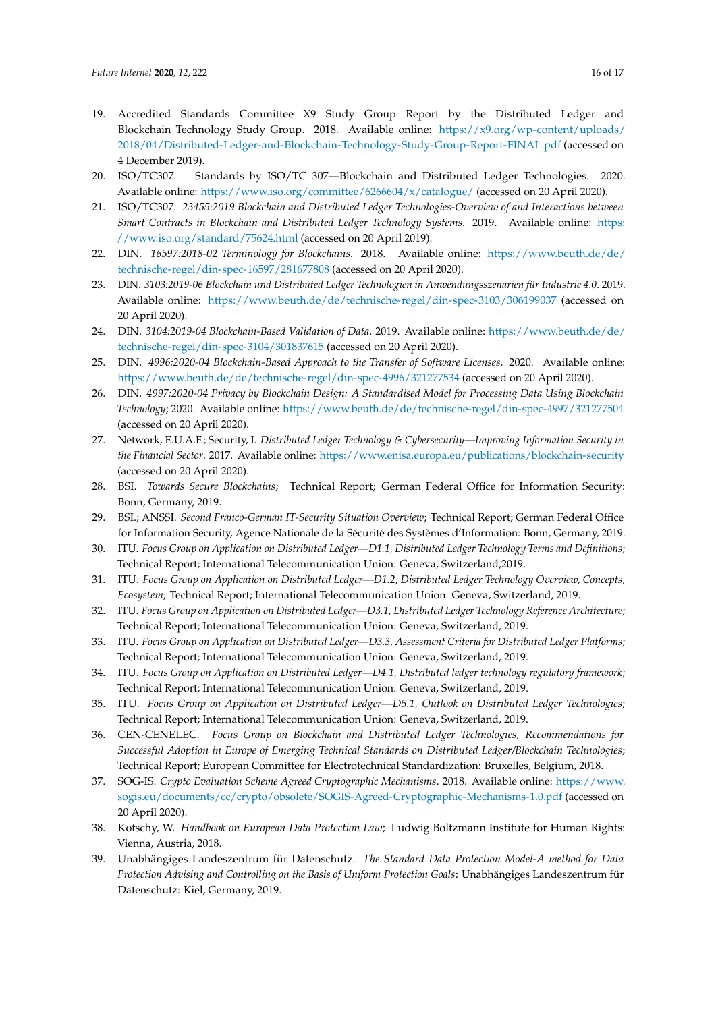- <span id="page-15-0"></span>19. Accredited Standards Committee X9 Study Group Report by the Distributed Ledger and Blockchain Technology Study Group. 2018. Available online: [https://x9.org/wp-content/uploads/](https://x9.org/wp-content/uploads/2018/04/Distributed-Ledger-and-Blockchain-Technology-Study-Group-Report-FINAL.pdf) [2018/04/Distributed-Ledger-and-Blockchain-Technology-Study-Group-Report-FINAL.pdf](https://x9.org/wp-content/uploads/2018/04/Distributed-Ledger-and-Blockchain-Technology-Study-Group-Report-FINAL.pdf) (accessed on 4 December 2019).
- <span id="page-15-1"></span>20. ISO/TC307. Standards by ISO/TC 307—Blockchain and Distributed Ledger Technologies. 2020. Available online: <https://www.iso.org/committee/6266604/x/catalogue/> (accessed on 20 April 2020).
- <span id="page-15-2"></span>21. ISO/TC307. *23455:2019 Blockchain and Distributed Ledger Technologies-Overview of and Interactions between Smart Contracts in Blockchain and Distributed Ledger Technology Systems*. 2019. Available online: [https:](https://www.iso.org/standard/75624.html) [//www.iso.org/standard/75624.html](https://www.iso.org/standard/75624.html) (accessed on 20 April 2019).
- <span id="page-15-3"></span>22. DIN. *16597:2018-02 Terminology for Blockchains*. 2018. Available online: [https://www.beuth.de/de/](https://www.beuth.de/de/technische-regel/din-spec-16597/281677808) [technische-regel/din-spec-16597/281677808](https://www.beuth.de/de/technische-regel/din-spec-16597/281677808) (accessed on 20 April 2020).
- <span id="page-15-4"></span>23. DIN. *3103:2019-06 Blockchain und Distributed Ledger Technologien in Anwendungsszenarien für Industrie 4.0*. 2019. Available online: <https://www.beuth.de/de/technische-regel/din-spec-3103/306199037> (accessed on 20 April 2020).
- <span id="page-15-5"></span>24. DIN. *3104:2019-04 Blockchain-Based Validation of Data*. 2019. Available online: [https://www.beuth.de/de/](https://www.beuth.de/de/technische-regel/din-spec-3104/301837615) [technische-regel/din-spec-3104/301837615](https://www.beuth.de/de/technische-regel/din-spec-3104/301837615) (accessed on 20 April 2020).
- <span id="page-15-6"></span>25. DIN. *4996:2020-04 Blockchain-Based Approach to the Transfer of Software Licenses*. 2020. Available online: <https://www.beuth.de/de/technische-regel/din-spec-4996/321277534> (accessed on 20 April 2020).
- <span id="page-15-7"></span>26. DIN. *4997:2020-04 Privacy by Blockchain Design: A Standardised Model for Processing Data Using Blockchain Technology*; 2020. Available online: <https://www.beuth.de/de/technische-regel/din-spec-4997/321277504> (accessed on 20 April 2020).
- <span id="page-15-8"></span>27. Network, E.U.A.F.; Security, I. *Distributed Ledger Technology & Cybersecurity—Improving Information Security in the Financial Sector*. 2017. Available online: <https://www.enisa.europa.eu/publications/blockchain-security> (accessed on 20 April 2020).
- <span id="page-15-9"></span>28. BSI. *Towards Secure Blockchains*; Technical Report; German Federal Office for Information Security: Bonn, Germany, 2019.
- <span id="page-15-10"></span>29. BSI.; ANSSI. *Second Franco-German IT-Security Situation Overview*; Technical Report; German Federal Office for Information Security, Agence Nationale de la Sécurité des Systèmes d'Information: Bonn, Germany, 2019.
- <span id="page-15-11"></span>30. ITU. *Focus Group on Application on Distributed Ledger—D1.1, Distributed Ledger Technology Terms and Definitions*; Technical Report; International Telecommunication Union: Geneva, Switzerland,2019.
- <span id="page-15-12"></span>31. ITU. *Focus Group on Application on Distributed Ledger—D1.2, Distributed Ledger Technology Overview, Concepts, Ecosystem*; Technical Report; International Telecommunication Union: Geneva, Switzerland, 2019.
- <span id="page-15-13"></span>32. ITU. *Focus Group on Application on Distributed Ledger—D3.1, Distributed Ledger Technology Reference Architecture*; Technical Report; International Telecommunication Union: Geneva, Switzerland, 2019.
- <span id="page-15-14"></span>33. ITU. *Focus Group on Application on Distributed Ledger—D3.3, Assessment Criteria for Distributed Ledger Platforms*; Technical Report; International Telecommunication Union: Geneva, Switzerland, 2019.
- <span id="page-15-15"></span>34. ITU. *Focus Group on Application on Distributed Ledger—D4.1, Distributed ledger technology regulatory framework*; Technical Report; International Telecommunication Union: Geneva, Switzerland, 2019.
- <span id="page-15-16"></span>35. ITU. *Focus Group on Application on Distributed Ledger—D5.1, Outlook on Distributed Ledger Technologies*; Technical Report; International Telecommunication Union: Geneva, Switzerland, 2019.
- <span id="page-15-17"></span>36. CEN-CENELEC. *Focus Group on Blockchain and Distributed Ledger Technologies, Recommendations for Successful Adoption in Europe of Emerging Technical Standards on Distributed Ledger/Blockchain Technologies*; Technical Report; European Committee for Electrotechnical Standardization: Bruxelles, Belgium, 2018.
- <span id="page-15-18"></span>37. SOG-IS. *Crypto Evaluation Scheme Agreed Cryptographic Mechanisms*. 2018. Available online: [https://www.](https://www.sogis.eu/documents/cc/crypto/obsolete/SOGIS-Agreed-Cryptographic-Mechanisms-1.0.pdf) [sogis.eu/documents/cc/crypto/obsolete/SOGIS-Agreed-Cryptographic-Mechanisms-1.0.pdf](https://www.sogis.eu/documents/cc/crypto/obsolete/SOGIS-Agreed-Cryptographic-Mechanisms-1.0.pdf) (accessed on 20 April 2020).
- <span id="page-15-19"></span>38. Kotschy, W. *Handbook on European Data Protection Law*; Ludwig Boltzmann Institute for Human Rights: Vienna, Austria, 2018.
- <span id="page-15-20"></span>39. Unabhängiges Landeszentrum für Datenschutz. *The Standard Data Protection Model-A method for Data Protection Advising and Controlling on the Basis of Uniform Protection Goals*; Unabhängiges Landeszentrum für Datenschutz: Kiel, Germany, 2019.